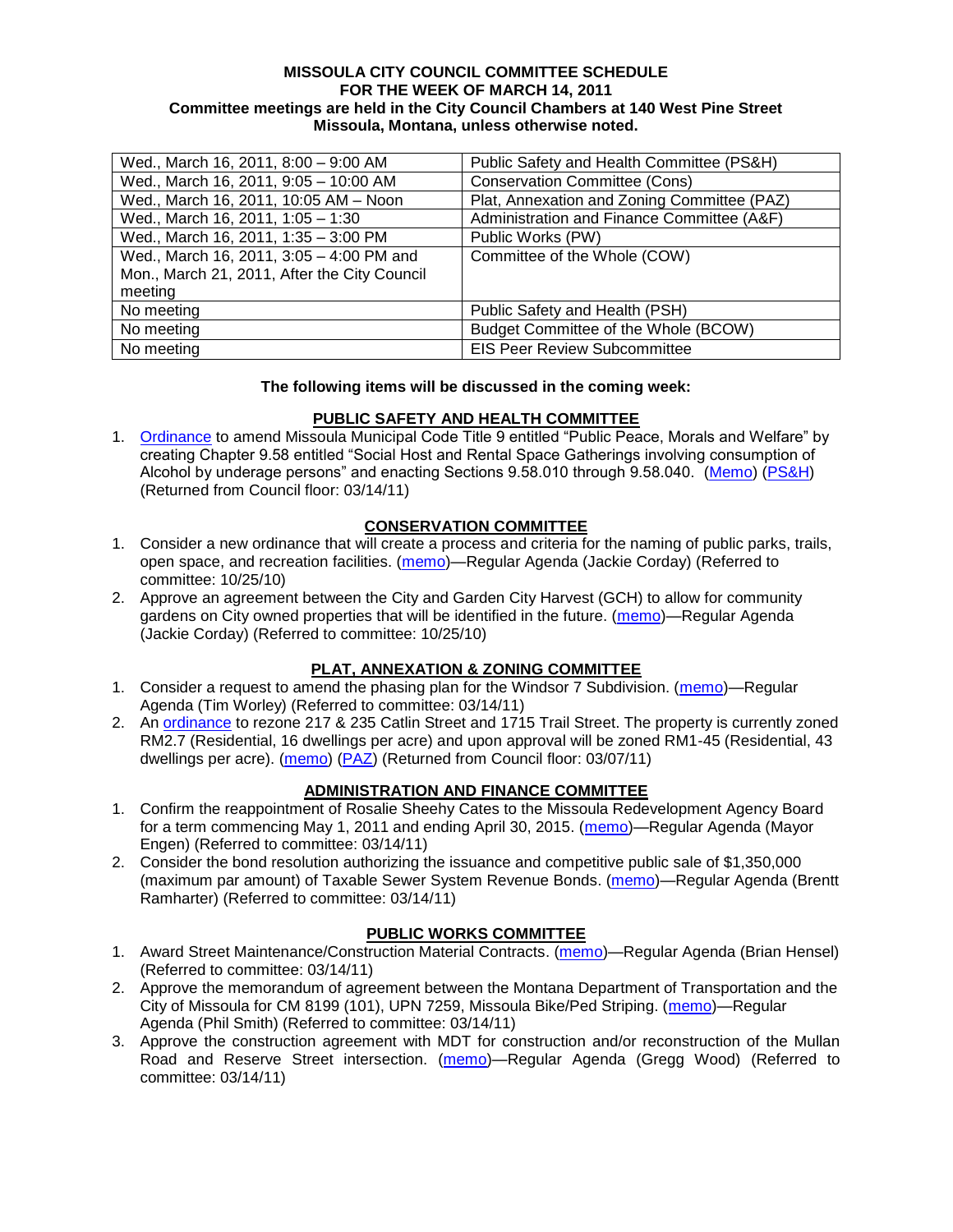#### **MISSOULA CITY COUNCIL COMMITTEE SCHEDULE FOR THE WEEK OF MARCH 14, 2011 Committee meetings are held in the City Council Chambers at 140 West Pine Street Missoula, Montana, unless otherwise noted.**

| Wed., March 16, 2011, 8:00 - 9:00 AM         | Public Safety and Health Committee (PS&H)   |
|----------------------------------------------|---------------------------------------------|
| Wed., March 16, 2011, 9:05 - 10:00 AM        | <b>Conservation Committee (Cons)</b>        |
| Wed., March 16, 2011, 10:05 AM - Noon        | Plat, Annexation and Zoning Committee (PAZ) |
| Wed., March 16, 2011, 1:05 - 1:30            | Administration and Finance Committee (A&F)  |
| Wed., March 16, 2011, 1:35 - 3:00 PM         | Public Works (PW)                           |
| Wed., March 16, 2011, 3:05 - 4:00 PM and     | Committee of the Whole (COW)                |
| Mon., March 21, 2011, After the City Council |                                             |
| meeting                                      |                                             |
| No meeting                                   | Public Safety and Health (PSH)              |
| No meeting                                   | Budget Committee of the Whole (BCOW)        |
| No meeting                                   | <b>EIS Peer Review Subcommittee</b>         |

#### **The following items will be discussed in the coming week:**

### **PUBLIC SAFETY AND HEALTH COMMITTEE**

1. [Ordinance](http://www.ci.missoula.mt.us/DocumentView.aspx?DID=5133) to amend Missoula Municipal Code Title 9 entitled "Public Peace, Morals and Welfare" by creating Chapter 9.58 entitled "Social Host and Rental Space Gatherings involving consumption of Alcohol by underage persons" and enacting Sections 9.58.010 through 9.58.040. [\(Memo\)](http://www.ci.missoula.mt.us/DocumentView.aspx?DID=5149) [\(PS&H\)](http://www.ci.missoula.mt.us/Archive.aspx?ADID=3550) (Returned from Council floor: 03/14/11)

### **CONSERVATION COMMITTEE**

- 1. Consider a new ordinance that will create a process and criteria for the naming of public parks, trails, open space, and recreation facilities. [\(memo\)](http://www.ci.missoula.mt.us/DocumentView.aspx?DID=4848)—Regular Agenda (Jackie Corday) (Referred to committee: 10/25/10)
- 2. Approve an agreement between the City and Garden City Harvest (GCH) to allow for community gardens on City owned properties that will be identified in the future. [\(memo\)](http://www.ci.missoula.mt.us/DocumentView.aspx?DID=4847)—Regular Agenda (Jackie Corday) (Referred to committee: 10/25/10)

### **PLAT, ANNEXATION & ZONING COMMITTEE**

- 1. Consider a request to amend the phasing plan for the Windsor 7 Subdivision. [\(memo\)](http://www.ci.missoula.mt.us/DocumentView.aspx?DID=5729)—Regular Agenda (Tim Worley) (Referred to committee: 03/14/11)
- 2. An [ordinance](http://www.ci.missoula.mt.us/DocumentView.aspx?DID=5587) to rezone 217 & 235 Catlin Street and 1715 Trail Street. The property is currently zoned RM2.7 (Residential, 16 dwellings per acre) and upon approval will be zoned RM1-45 (Residential, 43 dwellings per acre). [\(memo\)](http://www.ci.missoula.mt.us/DocumentView.aspx?DID=5591) [\(PAZ\)](http://www.ci.missoula.mt.us/Archive.aspx?ADID=3607) (Returned from Council floor: 03/07/11)

### **ADMINISTRATION AND FINANCE COMMITTEE**

- 1. Confirm the reappointment of Rosalie Sheehy Cates to the Missoula Redevelopment Agency Board for a term commencing May 1, 2011 and ending April 30, 2015. [\(memo\)](http://www.ci.missoula.mt.us/DocumentView.aspx?DID=5730)—Regular Agenda (Mayor Engen) (Referred to committee: 03/14/11)
- 2. Consider the bond resolution authorizing the issuance and competitive public sale of \$1,350,000 (maximum par amount) of Taxable Sewer System Revenue Bonds. [\(memo\)](http://www.ci.missoula.mt.us/DocumentView.aspx?DID=5728)—Regular Agenda (Brentt Ramharter) (Referred to committee: 03/14/11)

# **PUBLIC WORKS COMMITTEE**

- 1. Award Street Maintenance/Construction Material Contracts. [\(memo\)](http://www.ci.missoula.mt.us/DocumentView.aspx?DID=5721)—Regular Agenda (Brian Hensel) (Referred to committee: 03/14/11)
- 2. Approve the memorandum of agreement between the Montana Department of Transportation and the City of Missoula for CM 8199 (101), UPN 7259, Missoula Bike/Ped Striping. [\(memo\)](http://www.ci.missoula.mt.us/DocumentView.aspx?DID=5723)—Regular Agenda (Phil Smith) (Referred to committee: 03/14/11)
- 3. Approve the construction agreement with MDT for construction and/or reconstruction of the Mullan Road and Reserve Street intersection. [\(memo\)](http://www.ci.missoula.mt.us/DocumentView.aspx?DID=5724)—Regular Agenda (Gregg Wood) (Referred to committee: 03/14/11)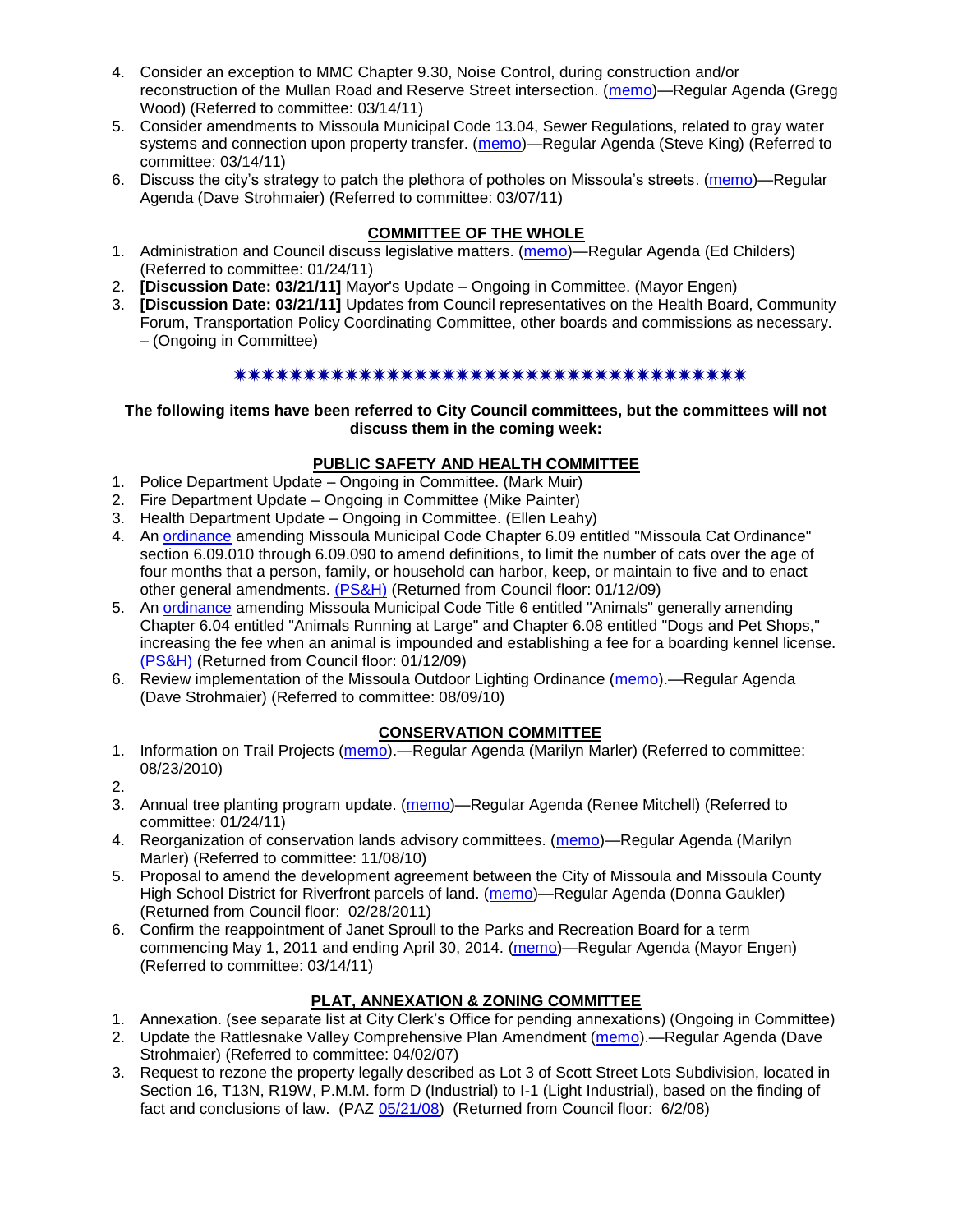- 4. Consider an exception to MMC Chapter 9.30, Noise Control, during construction and/or reconstruction of the Mullan Road and Reserve Street intersection. [\(memo\)](http://www.ci.missoula.mt.us/DocumentView.aspx?DID=5725)—Regular Agenda (Gregg Wood) (Referred to committee: 03/14/11)
- 5. Consider amendments to Missoula Municipal Code 13.04, Sewer Regulations, related to gray water systems and connection upon property transfer. [\(memo\)](http://www.ci.missoula.mt.us/DocumentView.aspx?DID=5722)—Regular Agenda (Steve King) (Referred to committee: 03/14/11)
- 6. Discuss the city's strategy to patch the plethora of potholes on Missoula's streets. [\(memo\)](http://www.ci.missoula.mt.us/DocumentView.aspx?DID=5665)—Regular Agenda (Dave Strohmaier) (Referred to committee: 03/07/11)

## **COMMITTEE OF THE WHOLE**

- 1. Administration and Council discuss legislative matters. [\(memo\)](http://www.ci.missoula.mt.us/DocumentView.aspx?DID=5433)—Regular Agenda (Ed Childers) (Referred to committee: 01/24/11)
- 2. **[Discussion Date: 03/21/11]** Mayor's Update Ongoing in Committee. (Mayor Engen)
- 3. **[Discussion Date: 03/21/11]** Updates from Council representatives on the Health Board, Community Forum, Transportation Policy Coordinating Committee, other boards and commissions as necessary. – (Ongoing in Committee)

### \*\*\*\*\*\*\*\*\*\*\*\*\*\*\*\*\*\*\*\*\*\*\*\*\*\*\*\*\*\*\*\*\*\*

#### **The following items have been referred to City Council committees, but the committees will not discuss them in the coming week:**

### **PUBLIC SAFETY AND HEALTH COMMITTEE**

- 1. Police Department Update Ongoing in Committee. (Mark Muir)
- 2. Fire Department Update Ongoing in Committee (Mike Painter)
- 3. Health Department Update Ongoing in Committee. (Ellen Leahy)
- 4. An [ordinance](ftp://ftp.ci.missoula.mt.us/Packets/Council/2008/2008-12-15/2008CatOrdinanceAmendment%5B1%5D.pdf) amending Missoula Municipal Code Chapter 6.09 entitled "Missoula Cat Ordinance" section 6.09.010 through 6.09.090 to amend definitions, to limit the number of cats over the age of four months that a person, family, or household can harbor, keep, or maintain to five and to enact other general amendments. [\(PS&H\)](ftp://ftp.ci.missoula.mt.us/Packets/Council/2008/2008-12-15/081210psh.pdf) (Returned from Council floor: 01/12/09)
- 5. An [ordinance](ftp://ftp.ci.missoula.mt.us/Packets/Council/2008/2008-12-15/DogOrdinance--PSHrevisions.pdf) amending Missoula Municipal Code Title 6 entitled "Animals" generally amending Chapter 6.04 entitled "Animals Running at Large" and Chapter 6.08 entitled "Dogs and Pet Shops," increasing the fee when an animal is impounded and establishing a fee for a boarding kennel license. [\(PS&H\)](ftp://ftp.ci.missoula.mt.us/Packets/Council/2008/2008-12-15/081210psh.pdf) (Returned from Council floor: 01/12/09)
- 6. Review implementation of the Missoula Outdoor Lighting Ordinance [\(memo\)](http://www.ci.missoula.mt.us/DocumentView.aspx?DID=4420).—Regular Agenda (Dave Strohmaier) (Referred to committee: 08/09/10)

### **CONSERVATION COMMITTEE**

- 1. Information on Trail Projects [\(memo\)](http://www.ci.missoula.mt.us/DocumentView.aspx?DID=4477).—Regular Agenda (Marilyn Marler) (Referred to committee: 08/23/2010)
- 2.
- 3. Annual tree planting program update. [\(memo\)](http://www.ci.missoula.mt.us/DocumentView.aspx?DID=5425)—Regular Agenda (Renee Mitchell) (Referred to committee: 01/24/11)
- 4. Reorganization of conservation lands advisory committees. [\(memo\)](http://www.ci.missoula.mt.us/DocumentView.aspx?DID=4957)—Regular Agenda (Marilyn Marler) (Referred to committee: 11/08/10)
- 5. Proposal to amend the development agreement between the City of Missoula and Missoula County High School District for Riverfront parcels of land. [\(memo\)](http://www.ci.missoula.mt.us/DocumentView.aspx?DID=5549)—Regular Agenda (Donna Gaukler) (Returned from Council floor: 02/28/2011)
- 6. Confirm the reappointment of Janet Sproull to the Parks and Recreation Board for a term commencing May 1, 2011 and ending April 30, 2014. [\(memo\)](http://www.ci.missoula.mt.us/DocumentView.aspx?DID=5726)—Regular Agenda (Mayor Engen) (Referred to committee: 03/14/11)

### **PLAT, ANNEXATION & ZONING COMMITTEE**

- 1. Annexation. (see separate list at City Clerk's Office for pending annexations) (Ongoing in Committee)
- 2. Update the Rattlesnake Valley Comprehensive Plan Amendment [\(memo\)](ftp://ftp.ci.missoula.mt.us/Packets/Council/2007/2007-04-02/Referrals/Rattlesnake_Plan_Update_referral.pdf).—Regular Agenda (Dave Strohmaier) (Referred to committee: 04/02/07)
- 3. Request to rezone the property legally described as Lot 3 of Scott Street Lots Subdivision, located in Section 16, T13N, R19W, P.M.M. form D (Industrial) to I-1 (Light Industrial), based on the finding of fact and conclusions of law. (PAZ [05/21/08\)](ftp://ftp.ci.missoula.mt.us/Packets/Council/2008/2008-06-02/080521paz.pdf) (Returned from Council floor: 6/2/08)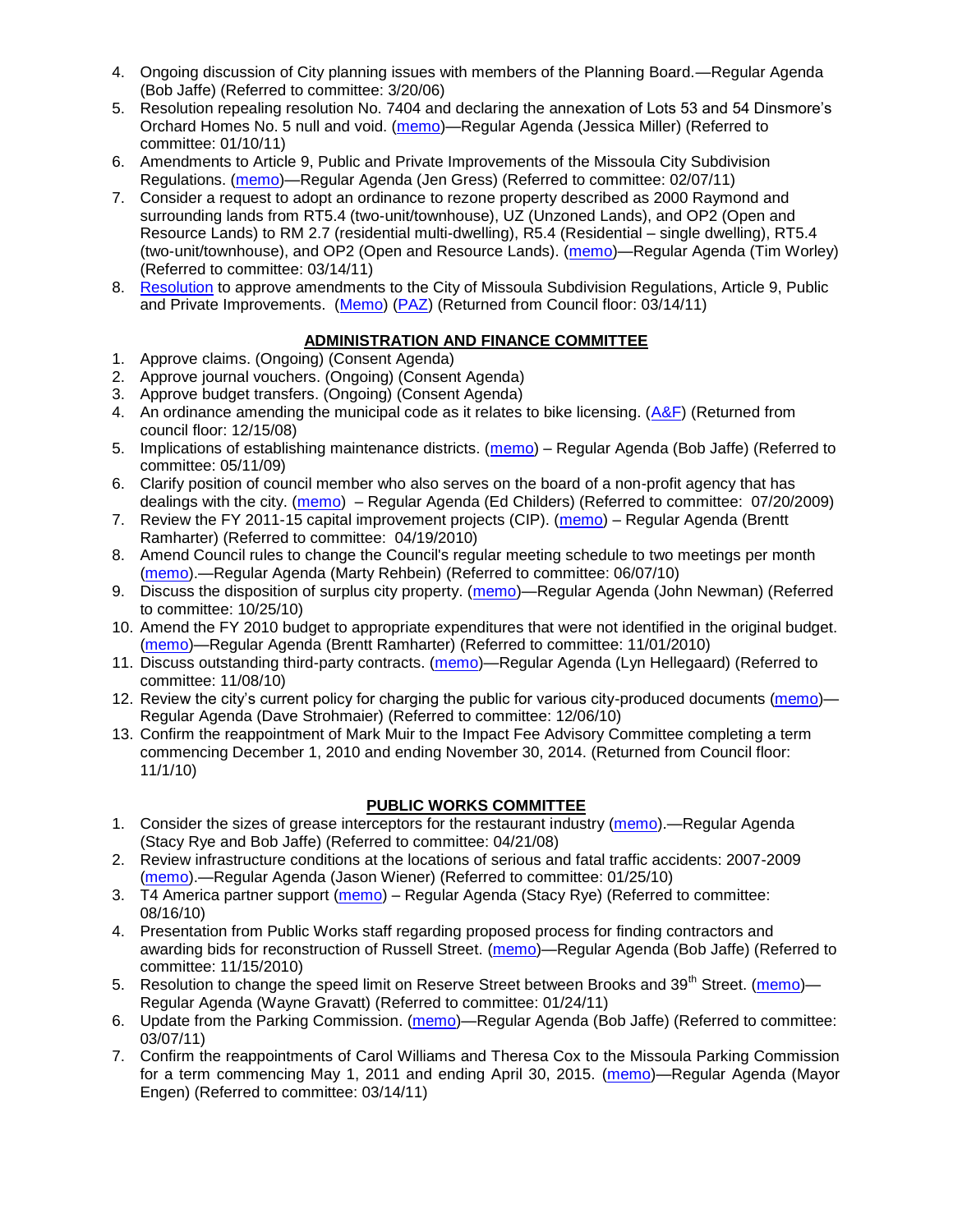- 4. Ongoing discussion of City planning issues with members of the Planning Board.—Regular Agenda (Bob Jaffe) (Referred to committee: 3/20/06)
- 5. Resolution repealing resolution No. 7404 and declaring the annexation of Lots 53 and 54 Dinsmore's Orchard Homes No. 5 null and void. [\(memo\)](http://www.ci.missoula.mt.us/DocumentView.aspx?DID=5349)—Regular Agenda (Jessica Miller) (Referred to committee: 01/10/11)
- 6. Amendments to Article 9, Public and Private Improvements of the Missoula City Subdivision Regulations. [\(memo\)](http://www.ci.missoula.mt.us/DocumentView.aspx?DID=5550)—Regular Agenda (Jen Gress) (Referred to committee: 02/07/11)
- 7. Consider a request to adopt an ordinance to rezone property described as 2000 Raymond and surrounding lands from RT5.4 (two-unit/townhouse), UZ (Unzoned Lands), and OP2 (Open and Resource Lands) to RM 2.7 (residential multi-dwelling), R5.4 (Residential – single dwelling), RT5.4 (two-unit/townhouse), and OP2 (Open and Resource Lands). [\(memo\)](http://www.ci.missoula.mt.us/DocumentView.aspx?DID=5731)—Regular Agenda (Tim Worley) (Referred to committee: 03/14/11)
- 8. [Resolution](http://www.ci.missoula.mt.us/DocumentView.aspx?DID=5689) to approve amendments to the City of Missoula Subdivision Regulations, Article 9, Public and Private Improvements. [\(Memo\)](http://www.ci.missoula.mt.us/DocumentView.aspx?DID=5550) [\(PAZ\)](http://www.ci.missoula.mt.us/Archive.aspx?ADID=3647) (Returned from Council floor: 03/14/11)

# **ADMINISTRATION AND FINANCE COMMITTEE**

- 1. Approve claims. (Ongoing) (Consent Agenda)
- 2. Approve journal vouchers. (Ongoing) (Consent Agenda)
- 3. Approve budget transfers. (Ongoing) (Consent Agenda)
- 4. An ordinance amending the municipal code as it relates to bike licensing. [\(A&F\)](ftp://ftp.ci.missoula.mt.us/Packets/Council/2008/2008-12-15/081210af.pdf) (Returned from council floor: 12/15/08)
- 5. Implications of establishing maintenance districts. [\(memo\)](ftp://ftp.ci.missoula.mt.us/Packets/Council/2009/2009-05-11/Referrals/MaintenanceDistricts.pdf) Regular Agenda (Bob Jaffe) (Referred to committee: 05/11/09)
- 6. Clarify position of council member who also serves on the board of a non-profit agency that has dealings with the city. [\(memo\)](http://www.ci.missoula.mt.us/DocumentView.aspx?DID=1840) – Regular Agenda (Ed Childers) (Referred to committee: 07/20/2009)
- 7. Review the FY 2011-15 capital improvement projects (CIP). [\(memo\)](http://www.ci.missoula.mt.us/DocumentView.aspx?DID=3522) Regular Agenda (Brentt Ramharter) (Referred to committee: 04/19/2010)
- 8. Amend Council rules to change the Council's regular meeting schedule to two meetings per month [\(memo\)](http://www.ci.missoula.mt.us/DocumentView.aspx?DID=4027).—Regular Agenda (Marty Rehbein) (Referred to committee: 06/07/10)
- 9. Discuss the disposition of surplus city property. [\(memo\)](http://www.ci.missoula.mt.us/DocumentView.aspx?DID=4862)—Regular Agenda (John Newman) (Referred to committee: 10/25/10)
- 10. Amend the FY 2010 budget to appropriate expenditures that were not identified in the original budget. [\(memo\)](http://www.ci.missoula.mt.us/DocumentView.aspx?DID=4883)—Regular Agenda (Brentt Ramharter) (Referred to committee: 11/01/2010)
- 11. Discuss outstanding third-party contracts. [\(memo\)](http://www.ci.missoula.mt.us/DocumentView.aspx?DID=4956)—Regular Agenda (Lyn Hellegaard) (Referred to committee: 11/08/10)
- 12. Review the city's current policy for charging the public for various city-produced documents [\(memo\)](http://www.ci.missoula.mt.us/DocumentView.aspx?DID=5143) Regular Agenda (Dave Strohmaier) (Referred to committee: 12/06/10)
- 13. Confirm the reappointment of Mark Muir to the Impact Fee Advisory Committee completing a term commencing December 1, 2010 and ending November 30, 2014. (Returned from Council floor: 11/1/10)

# **PUBLIC WORKS COMMITTEE**

- 1. Consider the sizes of grease interceptors for the restaurant industry [\(memo\)](ftp://ftp.ci.missoula.mt.us/Packets/Council/2008/2008-04-21/Referrals/Industrial_waste_restaurants.pdf).—Regular Agenda (Stacy Rye and Bob Jaffe) (Referred to committee: 04/21/08)
- 2. Review infrastructure conditions at the locations of serious and fatal traffic accidents: 2007-2009 [\(memo\)](http://www.ci.missoula.mt.us/DocumentView.aspx?DID=3031).—Regular Agenda (Jason Wiener) (Referred to committee: 01/25/10)
- 3. T4 America partner support [\(memo\)](http://www.ci.missoula.mt.us/DocumentView.aspx?DID=4452) Regular Agenda (Stacy Rye) (Referred to committee: 08/16/10)
- 4. Presentation from Public Works staff regarding proposed process for finding contractors and awarding bids for reconstruction of Russell Street. [\(memo\)](http://www.ci.missoula.mt.us/DocumentView.aspx?DID=5042)—Regular Agenda (Bob Jaffe) (Referred to committee: 11/15/2010)
- 5. Resolution to change the speed limit on Reserve Street between Brooks and 39<sup>th</sup> Street. [\(memo\)](http://www.ci.missoula.mt.us/DocumentView.aspx?DID=5418) Regular Agenda (Wayne Gravatt) (Referred to committee: 01/24/11)
- 6. Update from the Parking Commission. [\(memo\)](http://www.ci.missoula.mt.us/DocumentView.aspx?DID=5666)—Regular Agenda (Bob Jaffe) (Referred to committee: 03/07/11)
- 7. Confirm the reappointments of Carol Williams and Theresa Cox to the Missoula Parking Commission for a term commencing May 1, 2011 and ending April 30, 2015. [\(memo\)](http://www.ci.missoula.mt.us/DocumentView.aspx?DID=5727)—Regular Agenda (Mayor Engen) (Referred to committee: 03/14/11)